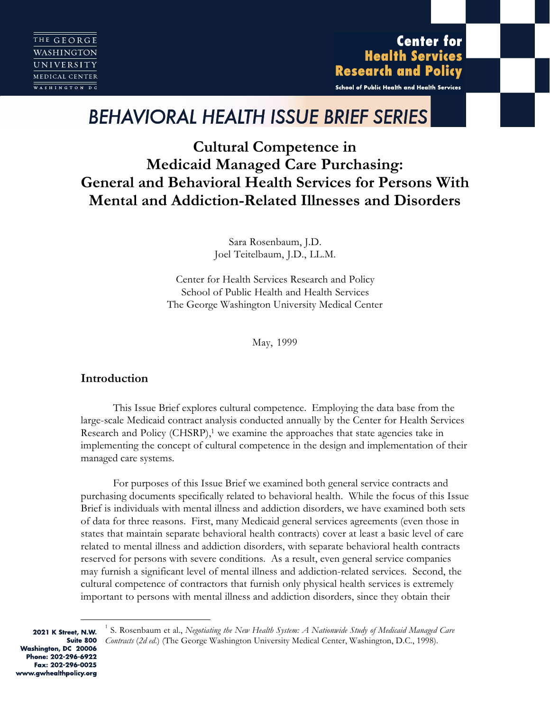## **Center for Health Services Research and Policy**

School of Public Health and Health Services

# *BEHAVIORAL HEALTH ISSUE BRIEF SERIES*

## **Cultural Competence in Medicaid Managed Care Purchasing: General and Behavioral Health Services for Persons With Mental and Addiction-Related Illnesses and Disorders**

Sara Rosenbaum, J.D. Joel Teitelbaum, J.D., LL.M.

Center for Health Services Research and Policy School of Public Health and Health Services The George Washington University Medical Center

May, 1999

## **Introduction**

This Issue Brief explores cultural competence. Employing the data base from the large-scale Medicaid contract analysis conducted annually by the Center for Health Services Research and Policy  $(CHSRP)$ ,<sup>1</sup> we examine the approaches that state agencies take in implementing the concept of cultural competence in the design and implementation of their managed care systems.

For purposes of this Issue Brief we examined both general service contracts and purchasing documents specifically related to behavioral health. While the focus of this Issue Brief is individuals with mental illness and addiction disorders, we have examined both sets of data for three reasons. First, many Medicaid general services agreements (even those in states that maintain separate behavioral health contracts) cover at least a basic level of care related to mental illness and addiction disorders, with separate behavioral health contracts reserved for persons with severe conditions. As a result, even general service companies may furnish a significant level of mental illness and addiction-related services. Second, the cultural competence of contractors that furnish only physical health services is extremely important to persons with mental illness and addiction disorders, since they obtain their

2021 K Street, N.W. Suite 800 Washington, DC 20006 Phone: 202-296-6922 Fax: 202-296-0025 www.gwhealthpolicy.org

 $\overline{a}$ 

<sup>1</sup> S. Rosenbaum et al., *Negotiating the New Health System: A Nationwide Study of Medicaid Managed Care Contracts* (*2d ed*.) (The George Washington University Medical Center, Washington, D.C., 1998).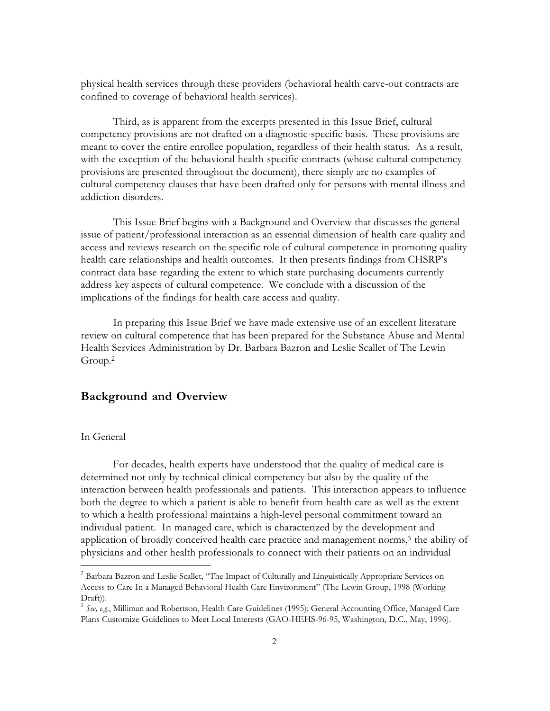physical health services through these providers (behavioral health carve-out contracts are confined to coverage of behavioral health services).

Third, as is apparent from the excerpts presented in this Issue Brief, cultural competency provisions are not drafted on a diagnostic-specific basis. These provisions are meant to cover the entire enrollee population, regardless of their health status. As a result, with the exception of the behavioral health-specific contracts (whose cultural competency provisions are presented throughout the document), there simply are no examples of cultural competency clauses that have been drafted only for persons with mental illness and addiction disorders.

This Issue Brief begins with a Background and Overview that discusses the general issue of patient/professional interaction as an essential dimension of health care quality and access and reviews research on the specific role of cultural competence in promoting quality health care relationships and health outcomes. It then presents findings from CHSRP's contract data base regarding the extent to which state purchasing documents currently address key aspects of cultural competence. We conclude with a discussion of the implications of the findings for health care access and quality.

In preparing this Issue Brief we have made extensive use of an excellent literature review on cultural competence that has been prepared for the Substance Abuse and Mental Health Services Administration by Dr. Barbara Bazron and Leslie Scallet of The Lewin Group.2

### **Background and Overview**

#### In General

For decades, health experts have understood that the quality of medical care is determined not only by technical clinical competency but also by the quality of the interaction between health professionals and patients. This interaction appears to influence both the degree to which a patient is able to benefit from health care as well as the extent to which a health professional maintains a high-level personal commitment toward an individual patient. In managed care, which is characterized by the development and application of broadly conceived health care practice and management norms, $3$  the ability of physicians and other health professionals to connect with their patients on an individual Į

 $^{\rm 2}$  Barbara Bazron and Leslie Scallet, ''The Impact of Culturally and Linguistically Appropriate Services on Access to Care In a Managed Behavioral Health Care Environment" (The Lewin Group, 1998 (Working Draft)).

<sup>&</sup>lt;sup>3</sup> See, e.g., Milliman and Robertson, Health Care Guidelines (1995); General Accounting Office, Managed Care<br>Plans Customize Guidelines to Meet Local Interests (GAO HEHS 96.95, Washington, D.C., May, 1996) Plans Customize Guidelines to Meet Local Interests (GAO-HEHS-96-95, Washington, D.C., May, 1996).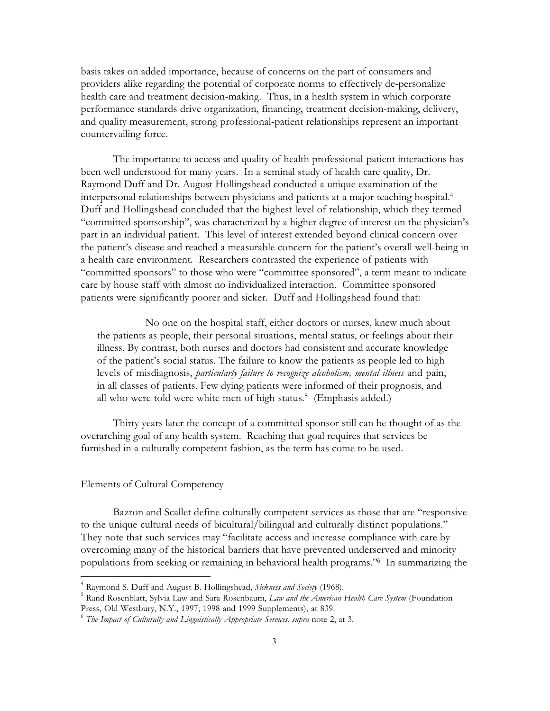basis takes on added importance, because of concerns on the part of consumers and providers alike regarding the potential of corporate norms to effectively de-personalize health care and treatment decision-making. Thus, in a health system in which corporate performance standards drive organization, financing, treatment decision-making, delivery, and quality measurement, strong professional-patient relationships represent an important countervailing force.

The importance to access and quality of health professional-patient interactions has been well understood for many years. In a seminal study of health care quality, Dr. Raymond Duff and Dr. August Hollingshead conducted a unique examination of the interpersonal relationships between physicians and patients at a major teaching hospital.4 Duff and Hollingshead concluded that the highest level of relationship, which they termed "committed sponsorship", was characterized by a higher degree of interest on the physician's part in an individual patient. This level of interest extended beyond clinical concern over the patient's disease and reached a measurable concern for the patient's overall well-being in a health care environment. Researchers contrasted the experience of patients with "committed sponsors" to those who were "committee sponsored", a term meant to indicate care by house staff with almost no individualized interaction. Committee sponsored patients were significantly poorer and sicker. Duff and Hollingshead found that:

No one on the hospital staff, either doctors or nurses, knew much about the patients as people, their personal situations, mental status, or feelings about their illness. By contrast, both nurses and doctors had consistent and accurate knowledge of the patient's social status. The failure to know the patients as people led to high levels of misdiagnosis, *particularly failure to recognize alcoholism, mental illness* and pain, in all classes of patients. Few dying patients were informed of their prognosis, and all who were told were white men of high status.<sup>5</sup> (Emphasis added.)

Thirty years later the concept of a committed sponsor still can be thought of as the overarching goal of any health system. Reaching that goal requires that services be furnished in a culturally competent fashion, as the term has come to be used.

#### Elements of Cultural Competency

l

Bazron and Scallet define culturally competent services as those that are "responsive to the unique cultural needs of bicultural/bilingual and culturally distinct populations." They note that such services may "facilitate access and increase compliance with care by overcoming many of the historical barriers that have prevented underserved and minority populations from seeking or remaining in behavioral health programs."6 In summarizing the

<sup>4</sup> Raymond S. Duff and August B. Hollingshead, *Sickness and Society* (1968). <sup>5</sup> Rand Rosenblatt, Sylvia Law and Sara Rosenbaum, *Law and the American Health Care System* (Foundation Press, Old Westbury, N.Y., 1997; 1998 and 1999 Supplements), at 839.

<sup>6</sup> *The Impact of Culturally and Linguistically Appropriate Services*, *supra* note 2, at 3.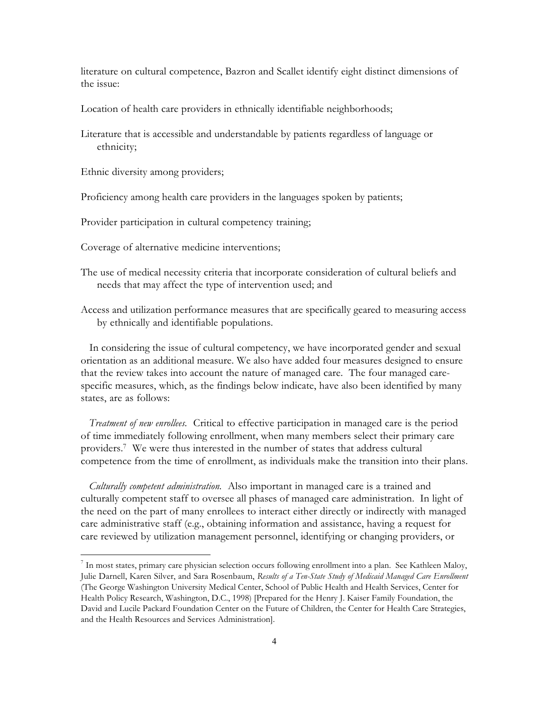literature on cultural competence, Bazron and Scallet identify eight distinct dimensions of the issue:

Location of health care providers in ethnically identifiable neighborhoods;

Literature that is accessible and understandable by patients regardless of language or ethnicity;

Ethnic diversity among providers;

l

Proficiency among health care providers in the languages spoken by patients;

Provider participation in cultural competency training;

Coverage of alternative medicine interventions;

- The use of medical necessity criteria that incorporate consideration of cultural beliefs and needs that may affect the type of intervention used; and
- Access and utilization performance measures that are specifically geared to measuring access by ethnically and identifiable populations.

 In considering the issue of cultural competency, we have incorporated gender and sexual orientation as an additional measure. We also have added four measures designed to ensure that the review takes into account the nature of managed care. The four managed carespecific measures, which, as the findings below indicate, have also been identified by many states, are as follows:

 *Treatment of new enrollees.* Critical to effective participation in managed care is the period of time immediately following enrollment, when many members select their primary care providers.7 We were thus interested in the number of states that address cultural competence from the time of enrollment, as individuals make the transition into their plans.

 *Culturally competent administration.* Also important in managed care is a trained and culturally competent staff to oversee all phases of managed care administration. In light of the need on the part of many enrollees to interact either directly or indirectly with managed care administrative staff (e.g., obtaining information and assistance, having a request for care reviewed by utilization management personnel, identifying or changing providers, or

 $^7$  In most states, primary care physician selection occurs following enrollment into a plan. See Kathleen Maloy, Julie Darnell, Karen Silver, and Sara Rosenbaum, *Results of a Ten-State Study of Medicaid Managed Care Enrollment* (The George Washington University Medical Center, School of Public Health and Health Services, Center for Health Policy Research, Washington, D.C., 1998) [Prepared for the Henry J. Kaiser Family Foundation, the David and Lucile Packard Foundation Center on the Future of Children, the Center for Health Care Strategies, and the Health Resources and Services Administration].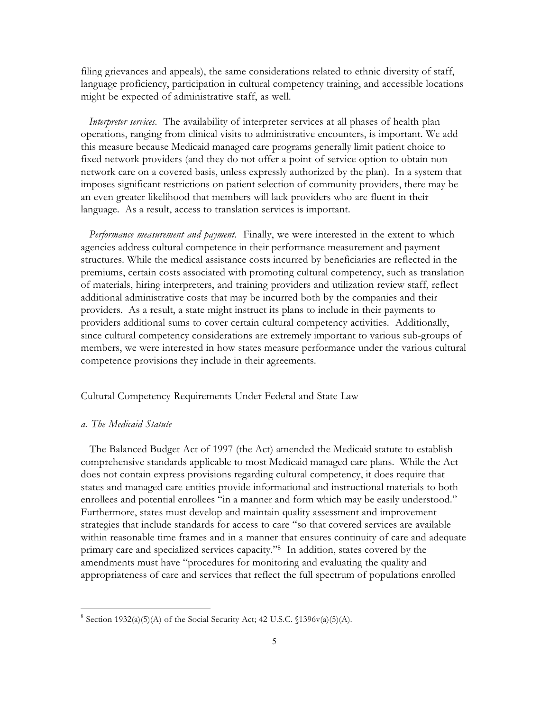filing grievances and appeals), the same considerations related to ethnic diversity of staff, language proficiency, participation in cultural competency training, and accessible locations might be expected of administrative staff, as well.

 *Interpreter services.* The availability of interpreter services at all phases of health plan operations, ranging from clinical visits to administrative encounters, is important. We add this measure because Medicaid managed care programs generally limit patient choice to fixed network providers (and they do not offer a point-of-service option to obtain nonnetwork care on a covered basis, unless expressly authorized by the plan). In a system that imposes significant restrictions on patient selection of community providers, there may be an even greater likelihood that members will lack providers who are fluent in their language. As a result, access to translation services is important.

 *Performance measurement and payment*. Finally, we were interested in the extent to which agencies address cultural competence in their performance measurement and payment structures. While the medical assistance costs incurred by beneficiaries are reflected in the premiums, certain costs associated with promoting cultural competency, such as translation of materials, hiring interpreters, and training providers and utilization review staff, reflect additional administrative costs that may be incurred both by the companies and their providers. As a result, a state might instruct its plans to include in their payments to providers additional sums to cover certain cultural competency activities. Additionally, since cultural competency considerations are extremely important to various sub-groups of members, we were interested in how states measure performance under the various cultural competence provisions they include in their agreements.

Cultural Competency Requirements Under Federal and State Law

#### *a. The Medicaid Statute*

l

 The Balanced Budget Act of 1997 (the Act) amended the Medicaid statute to establish comprehensive standards applicable to most Medicaid managed care plans. While the Act does not contain express provisions regarding cultural competency, it does require that states and managed care entities provide informational and instructional materials to both enrollees and potential enrollees "in a manner and form which may be easily understood." Furthermore, states must develop and maintain quality assessment and improvement strategies that include standards for access to care "so that covered services are available within reasonable time frames and in a manner that ensures continuity of care and adequate primary care and specialized services capacity."8 In addition, states covered by the amendments must have "procedures for monitoring and evaluating the quality and appropriateness of care and services that reflect the full spectrum of populations enrolled

<sup>&</sup>lt;sup>8</sup> Section 1932(a)(5)(A) of the Social Security Act; 42 U.S.C.  $$1396v(a)(5)(A)$ .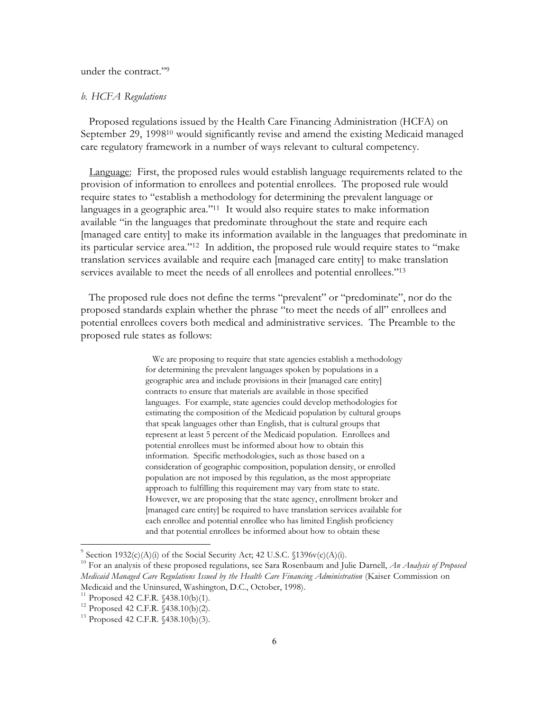under the contract."9

#### *b. HCFA Regulations*

 Proposed regulations issued by the Health Care Financing Administration (HCFA) on September 29, 1998<sup>10</sup> would significantly revise and amend the existing Medicaid managed care regulatory framework in a number of ways relevant to cultural competency.

 Language: First, the proposed rules would establish language requirements related to the provision of information to enrollees and potential enrollees. The proposed rule would require states to "establish a methodology for determining the prevalent language or languages in a geographic area."<sup>11</sup> It would also require states to make information available "in the languages that predominate throughout the state and require each [managed care entity] to make its information available in the languages that predominate in its particular service area."12 In addition, the proposed rule would require states to "make translation services available and require each [managed care entity] to make translation services available to meet the needs of all enrollees and potential enrollees."<sup>13</sup>

 The proposed rule does not define the terms "prevalent" or "predominate", nor do the proposed standards explain whether the phrase "to meet the needs of all" enrollees and potential enrollees covers both medical and administrative services. The Preamble to the proposed rule states as follows:

> We are proposing to require that state agencies establish a methodology for determining the prevalent languages spoken by populations in a geographic area and include provisions in their [managed care entity] contracts to ensure that materials are available in those specified languages. For example, state agencies could develop methodologies for estimating the composition of the Medicaid population by cultural groups that speak languages other than English, that is cultural groups that represent at least 5 percent of the Medicaid population. Enrollees and potential enrollees must be informed about how to obtain this information. Specific methodologies, such as those based on a consideration of geographic composition, population density, or enrolled population are not imposed by this regulation, as the most appropriate approach to fulfilling this requirement may vary from state to state. However, we are proposing that the state agency, enrollment broker and [managed care entity] be required to have translation services available for each enrollee and potential enrollee who has limited English proficiency and that potential enrollees be informed about how to obtain these

<sup>&</sup>lt;sup>9</sup> Section 1932(c)(A)(i) of the Social Security Act; 42 U.S.C.  $1396v(c)(A)(i)$ .

<sup>10</sup> For an analysis of these proposed regulations, see Sara Rosenbaum and Julie Darnell, *An Analysis of Proposed Medicaid Managed Care Regulations Issued by the Health Care Financing Administration* (Kaiser Commission on Medicaid and the Uninsured, Washington, D.C., October, 1998).<br><sup>11</sup> Proposed 42 C.F.R. §438.10(b)(1).

<sup>&</sup>lt;sup>12</sup> Proposed 42 C.F.R. §438.10(b)(2).<br><sup>13</sup> Proposed 42 C.F.R. §438.10(b)(3).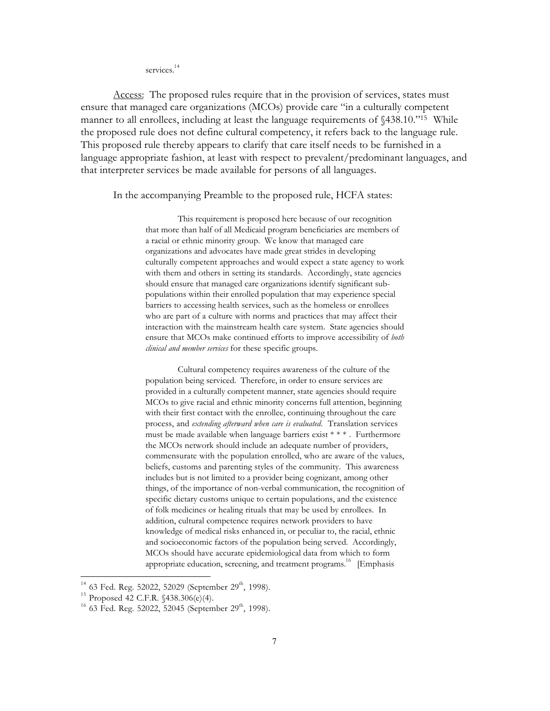services.<sup>14</sup>

Access: The proposed rules require that in the provision of services, states must ensure that managed care organizations (MCOs) provide care "in a culturally competent manner to all enrollees, including at least the language requirements of  $\frac{438.10.^{115}}{200}$  While the proposed rule does not define cultural competency, it refers back to the language rule. This proposed rule thereby appears to clarify that care itself needs to be furnished in a language appropriate fashion, at least with respect to prevalent/predominant languages, and that interpreter services be made available for persons of all languages.

#### In the accompanying Preamble to the proposed rule, HCFA states:

This requirement is proposed here because of our recognition that more than half of all Medicaid program beneficiaries are members of a racial or ethnic minority group. We know that managed care organizations and advocates have made great strides in developing culturally competent approaches and would expect a state agency to work with them and others in setting its standards. Accordingly, state agencies should ensure that managed care organizations identify significant subpopulations within their enrolled population that may experience special barriers to accessing health services, such as the homeless or enrollees who are part of a culture with norms and practices that may affect their interaction with the mainstream health care system. State agencies should ensure that MCOs make continued efforts to improve accessibility of *both clinical and member services* for these specific groups.

Cultural competency requires awareness of the culture of the population being serviced. Therefore, in order to ensure services are provided in a culturally competent manner, state agencies should require MCOs to give racial and ethnic minority concerns full attention, beginning with their first contact with the enrollee, continuing throughout the care process, and *extending afterward when care is evaluated*. Translation services must be made available when language barriers exist \* \* \* . Furthermore the MCOs network should include an adequate number of providers, commensurate with the population enrolled, who are aware of the values, beliefs, customs and parenting styles of the community. This awareness includes but is not limited to a provider being cognizant, among other things, of the importance of non-verbal communication, the recognition of specific dietary customs unique to certain populations, and the existence of folk medicines or healing rituals that may be used by enrollees. In addition, cultural competence requires network providers to have knowledge of medical risks enhanced in, or peculiar to, the racial, ethnic and socioeconomic factors of the population being served. Accordingly, MCOs should have accurate epidemiological data from which to form appropriate education, screening, and treatment programs.<sup>16</sup> [Emphasis]

<sup>&</sup>lt;sup>14</sup> 63 Fed. Reg. 52022, 52029 (September 29<sup>th</sup>, 1998).<br><sup>15</sup> Proposed 42 C.F.R. §438.306(e)(4).<br><sup>16</sup> 63 Fed. Reg. 52022, 52045 (September 29<sup>th</sup>, 1998).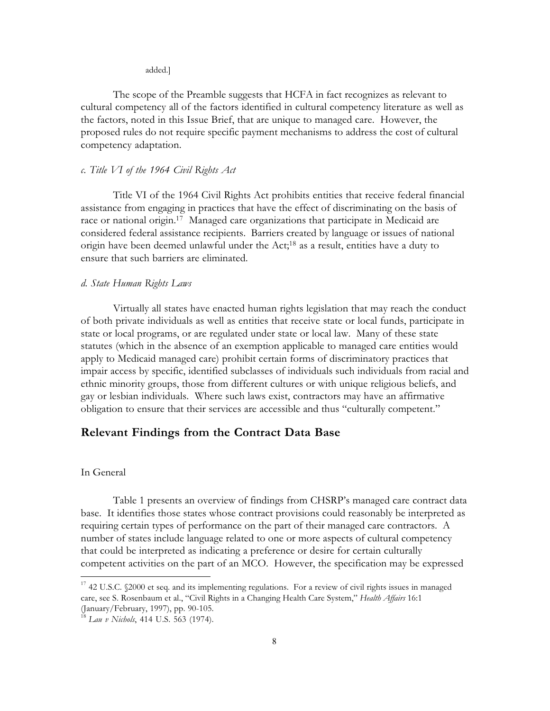#### added.]

The scope of the Preamble suggests that HCFA in fact recognizes as relevant to cultural competency all of the factors identified in cultural competency literature as well as the factors, noted in this Issue Brief, that are unique to managed care. However, the proposed rules do not require specific payment mechanisms to address the cost of cultural competency adaptation.

#### *c. Title VI of the 1964 Civil Rights Act*

Title VI of the 1964 Civil Rights Act prohibits entities that receive federal financial assistance from engaging in practices that have the effect of discriminating on the basis of race or national origin.<sup>17</sup> Managed care organizations that participate in Medicaid are considered federal assistance recipients. Barriers created by language or issues of national origin have been deemed unlawful under the  $Act;^{18}$  as a result, entities have a duty to ensure that such barriers are eliminated.

#### *d. State Human Rights Laws*

Virtually all states have enacted human rights legislation that may reach the conduct of both private individuals as well as entities that receive state or local funds, participate in state or local programs, or are regulated under state or local law. Many of these state statutes (which in the absence of an exemption applicable to managed care entities would apply to Medicaid managed care) prohibit certain forms of discriminatory practices that impair access by specific, identified subclasses of individuals such individuals from racial and ethnic minority groups, those from different cultures or with unique religious beliefs, and gay or lesbian individuals. Where such laws exist, contractors may have an affirmative obligation to ensure that their services are accessible and thus "culturally competent."

### **Relevant Findings from the Contract Data Base**

#### In General

l

Table 1 presents an overview of findings from CHSRP's managed care contract data base. It identifies those states whose contract provisions could reasonably be interpreted as requiring certain types of performance on the part of their managed care contractors. A number of states include language related to one or more aspects of cultural competency that could be interpreted as indicating a preference or desire for certain culturally competent activities on the part of an MCO. However, the specification may be expressed

<sup>&</sup>lt;sup>17</sup> 42 U.S.C. §2000 et seq. and its implementing regulations. For a review of civil rights issues in managed care, see S. Rosenbaum et al., "Civil Rights in a Changing Health Care System," *Health Affairs* 16:1 (January/February, 1997), pp. 90-105.

Lau v Nichols, 414 U.S. 563 (1974).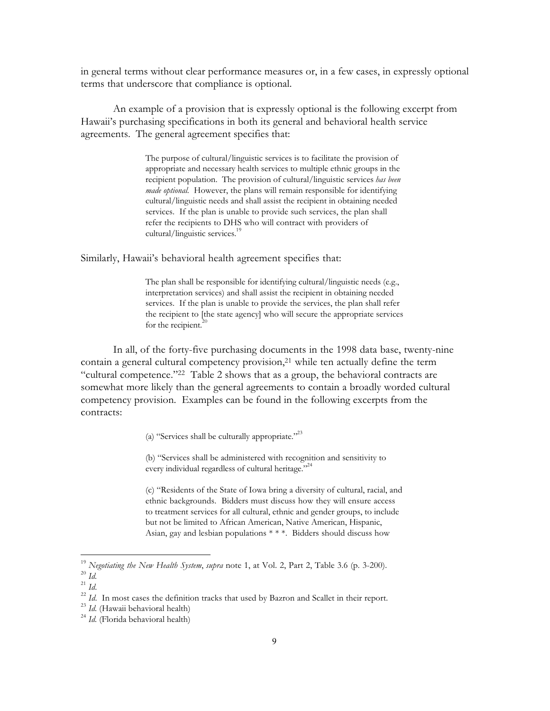in general terms without clear performance measures or, in a few cases, in expressly optional terms that underscore that compliance is optional.

An example of a provision that is expressly optional is the following excerpt from Hawaii's purchasing specifications in both its general and behavioral health service agreements. The general agreement specifies that:

> The purpose of cultural/linguistic services is to facilitate the provision of appropriate and necessary health services to multiple ethnic groups in the recipient population. The provision of cultural/linguistic services *has been made optional.* However, the plans will remain responsible for identifying cultural/linguistic needs and shall assist the recipient in obtaining needed services. If the plan is unable to provide such services, the plan shall refer the recipients to DHS who will contract with providers of cultural/linguistic services.<sup>19</sup>

Similarly, Hawaii's behavioral health agreement specifies that:

The plan shall be responsible for identifying cultural/linguistic needs (e.g., interpretation services) and shall assist the recipient in obtaining needed services. If the plan is unable to provide the services, the plan shall refer the recipient to [the state agency] who will secure the appropriate services for the recipient. $20$ 

In all, of the forty-five purchasing documents in the 1998 data base, twenty-nine contain a general cultural competency provision, $21$  while ten actually define the term "cultural competence."22 Table 2 shows that as a group, the behavioral contracts are somewhat more likely than the general agreements to contain a broadly worded cultural competency provision. Examples can be found in the following excerpts from the contracts:

(a) "Services shall be culturally appropriate."<sup>23</sup>

(b) "Services shall be administered with recognition and sensitivity to every individual regardless of cultural heritage."<sup>24</sup>

(c) "Residents of the State of Iowa bring a diversity of cultural, racial, and ethnic backgrounds. Bidders must discuss how they will ensure access to treatment services for all cultural, ethnic and gender groups, to include but not be limited to African American, Native American, Hispanic, Asian, gay and lesbian populations \* \* \*. Bidders should discuss how

 $^{19}$  Negotiating the New Health System, supra note 1, at Vol. 2, Part 2, Table 3.6 (p. 3-200).

<sup>&</sup>lt;sup>20</sup> *Id.*<br><sup>21</sup> *Id.*<br><sup>22</sup> *Id.* In most cases the definition tracks that used by Bazron and Scallet in their report.<br><sup>23</sup> *Id.* (Hawaii behavioral health)<br><sup>24</sup> *Id.* (Florida behavioral health)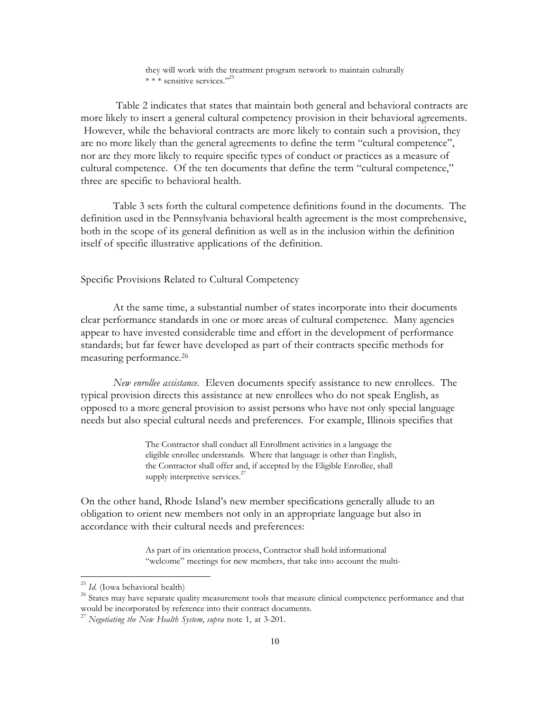they will work with the treatment program network to maintain culturally \* \* \* sensitive services."<sup>25</sup>

 Table 2 indicates that states that maintain both general and behavioral contracts are more likely to insert a general cultural competency provision in their behavioral agreements. However, while the behavioral contracts are more likely to contain such a provision, they are no more likely than the general agreements to define the term "cultural competence", nor are they more likely to require specific types of conduct or practices as a measure of cultural competence. Of the ten documents that define the term "cultural competence," three are specific to behavioral health.

Table 3 sets forth the cultural competence definitions found in the documents. The definition used in the Pennsylvania behavioral health agreement is the most comprehensive, both in the scope of its general definition as well as in the inclusion within the definition itself of specific illustrative applications of the definition.

Specific Provisions Related to Cultural Competency

At the same time, a substantial number of states incorporate into their documents clear performance standards in one or more areas of cultural competence. Many agencies appear to have invested considerable time and effort in the development of performance standards; but far fewer have developed as part of their contracts specific methods for measuring performance.26

*New enrollee assistance.* Eleven documents specify assistance to new enrollees. The typical provision directs this assistance at new enrollees who do not speak English, as opposed to a more general provision to assist persons who have not only special language needs but also special cultural needs and preferences. For example, Illinois specifies that

> The Contractor shall conduct all Enrollment activities in a language the eligible enrollee understands. Where that language is other than English, the Contractor shall offer and, if accepted by the Eligible Enrollee, shall supply interpretive services.<sup>27</sup>

On the other hand, Rhode Island's new member specifications generally allude to an obligation to orient new members not only in an appropriate language but also in accordance with their cultural needs and preferences:

> As part of its orientation process, Contractor shall hold informational "welcome" meetings for new members, that take into account the multi-

 $^{25}$  *Id.* (Iowa behavioral health)<br><sup>26</sup> States may have separate quality measurement tools that measure clinical competence performance and that would be incorporated by reference into their contract documents.

<sup>27</sup> *Negotiating the New Health System*, *supra* note 1, at 3-201.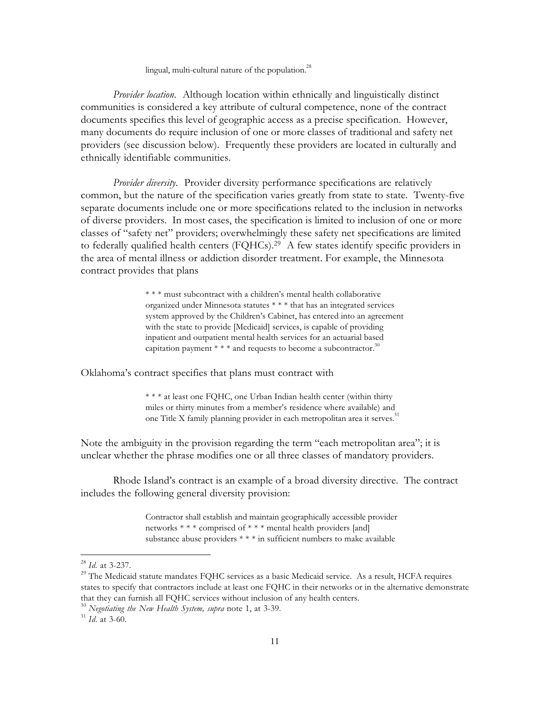lingual, multi-cultural nature of the population.<sup>28</sup>

*Provider location*. Although location within ethnically and linguistically distinct communities is considered a key attribute of cultural competence, none of the contract documents specifies this level of geographic access as a precise specification. However, many documents do require inclusion of one or more classes of traditional and safety net providers (see discussion below). Frequently these providers are located in culturally and ethnically identifiable communities.

*Provider diversity*. Provider diversity performance specifications are relatively common, but the nature of the specification varies greatly from state to state. Twenty-five separate documents include one or more specifications related to the inclusion in networks of diverse providers. In most cases, the specification is limited to inclusion of one or more classes of "safety net" providers; overwhelmingly these safety net specifications are limited to federally qualified health centers (FQHCs).29 A few states identify specific providers in the area of mental illness or addiction disorder treatment. For example, the Minnesota contract provides that plans

> \* \* \* must subcontract with a children's mental health collaborative organized under Minnesota statutes \* \* \* that has an integrated services system approved by the Children's Cabinet, has entered into an agreement with the state to provide [Medicaid] services, is capable of providing inpatient and outpatient mental health services for an actuarial based capitation payment  $***$  and requests to become a subcontractor.<sup>30</sup>

Oklahoma's contract specifies that plans must contract with

\* \* \* at least one FQHC, one Urban Indian health center (within thirty miles or thirty minutes from a member's residence where available) and one Title X family planning provider in each metropolitan area it serves.<sup>31</sup>

Note the ambiguity in the provision regarding the term "each metropolitan area"; it is unclear whether the phrase modifies one or all three classes of mandatory providers.

Rhode Island's contract is an example of a broad diversity directive. The contract includes the following general diversity provision:

> Contractor shall establish and maintain geographically accessible provider networks \* \* \* comprised of \* \* \* mental health providers [and] substance abuse providers \* \* \* in sufficient numbers to make available

<sup>&</sup>lt;sup>28</sup> *Id.* at 3-237.<br><sup>29</sup> The Medicaid statute mandates FQHC services as a basic Medicaid service. As a result, HCFA requires states to specify that contractors include at least one FQHC in their networks or in the alternative demonstrate that they can furnish all FQHC services without inclusion of any health centers.

<sup>&</sup>lt;sup>30</sup> *Negotiating the New Health System, supra* note 1, at 3-39.<br><sup>31</sup> *Id.* at 3-60.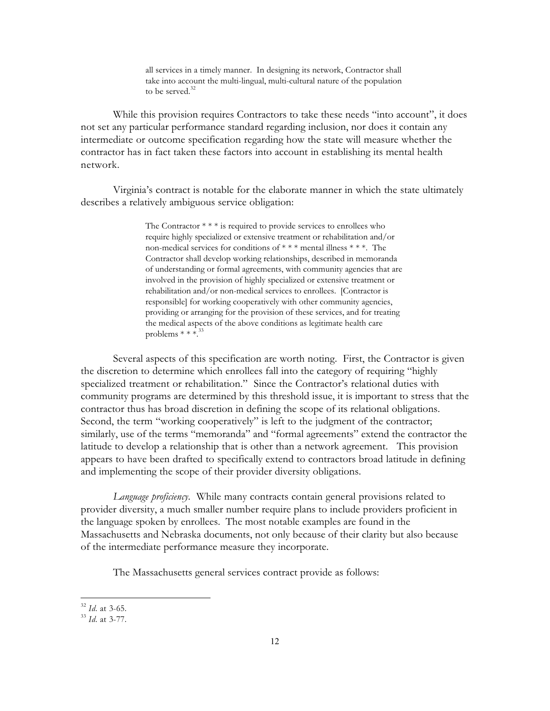all services in a timely manner. In designing its network, Contractor shall take into account the multi-lingual, multi-cultural nature of the population to be served. $32$ 

While this provision requires Contractors to take these needs "into account", it does not set any particular performance standard regarding inclusion, nor does it contain any intermediate or outcome specification regarding how the state will measure whether the contractor has in fact taken these factors into account in establishing its mental health network.

Virginia's contract is notable for the elaborate manner in which the state ultimately describes a relatively ambiguous service obligation:

> The Contractor \* \* \* is required to provide services to enrollees who require highly specialized or extensive treatment or rehabilitation and/or non-medical services for conditions of \* \* \* mental illness \* \* \*. The Contractor shall develop working relationships, described in memoranda of understanding or formal agreements, with community agencies that are involved in the provision of highly specialized or extensive treatment or rehabilitation and/or non-medical services to enrollees. [Contractor is responsible] for working cooperatively with other community agencies, providing or arranging for the provision of these services, and for treating the medical aspects of the above conditions as legitimate health care problems  $***$ <sup>33</sup>

Several aspects of this specification are worth noting. First, the Contractor is given the discretion to determine which enrollees fall into the category of requiring "highly specialized treatment or rehabilitation." Since the Contractor's relational duties with community programs are determined by this threshold issue, it is important to stress that the contractor thus has broad discretion in defining the scope of its relational obligations. Second, the term "working cooperatively" is left to the judgment of the contractor; similarly, use of the terms "memoranda" and "formal agreements" extend the contractor the latitude to develop a relationship that is other than a network agreement. This provision appears to have been drafted to specifically extend to contractors broad latitude in defining and implementing the scope of their provider diversity obligations.

*Language proficiency*. While many contracts contain general provisions related to provider diversity, a much smaller number require plans to include providers proficient in the language spoken by enrollees. The most notable examples are found in the Massachusetts and Nebraska documents, not only because of their clarity but also because of the intermediate performance measure they incorporate.

The Massachusetts general services contract provide as follows:

<sup>32</sup> *Id*. at 3-65. <sup>33</sup> *Id*. at 3-77.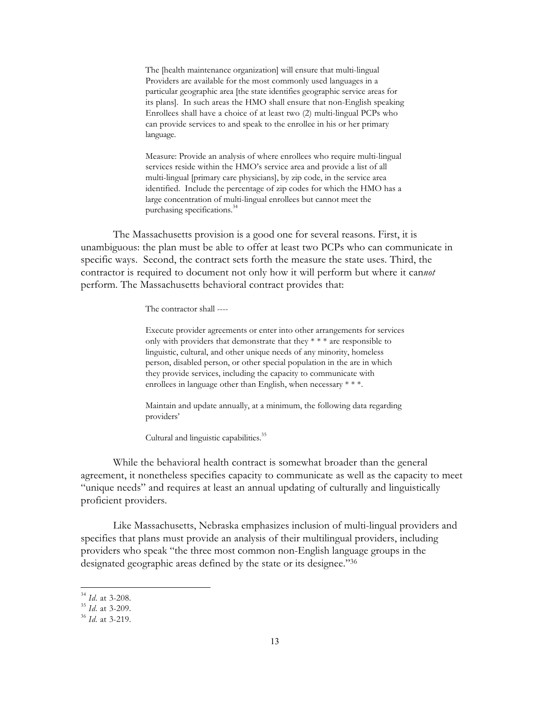The [health maintenance organization] will ensure that multi-lingual Providers are available for the most commonly used languages in a particular geographic area [the state identifies geographic service areas for its plans]. In such areas the HMO shall ensure that non-English speaking Enrollees shall have a choice of at least two (2) multi-lingual PCPs who can provide services to and speak to the enrollee in his or her primary language.

Measure: Provide an analysis of where enrollees who require multi-lingual services reside within the HMO's service area and provide a list of all multi-lingual [primary care physicians], by zip code, in the service area identified. Include the percentage of zip codes for which the HMO has a large concentration of multi-lingual enrollees but cannot meet the purchasing specifications.34

The Massachusetts provision is a good one for several reasons. First, it is unambiguous: the plan must be able to offer at least two PCPs who can communicate in specific ways. Second, the contract sets forth the measure the state uses. Third, the contractor is required to document not only how it will perform but where it can*not* perform. The Massachusetts behavioral contract provides that:

The contractor shall ----

Execute provider agreements or enter into other arrangements for services only with providers that demonstrate that they \* \* \* are responsible to linguistic, cultural, and other unique needs of any minority, homeless person, disabled person, or other special population in the are in which they provide services, including the capacity to communicate with enrollees in language other than English, when necessary \* \* \*.

Maintain and update annually, at a minimum, the following data regarding providers'

Cultural and linguistic capabilities.<sup>35</sup>

While the behavioral health contract is somewhat broader than the general agreement, it nonetheless specifies capacity to communicate as well as the capacity to meet "unique needs" and requires at least an annual updating of culturally and linguistically proficient providers.

Like Massachusetts, Nebraska emphasizes inclusion of multi-lingual providers and specifies that plans must provide an analysis of their multilingual providers, including providers who speak "the three most common non-English language groups in the designated geographic areas defined by the state or its designee."36

<sup>34</sup> *Id*. at 3-208. <sup>35</sup> *Id*. at 3-209. <sup>36</sup> *Id*. at 3-219.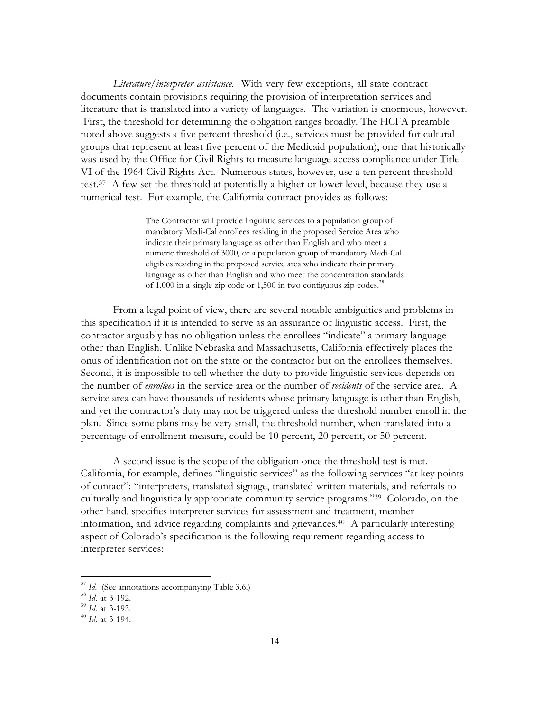*Literature/interpreter assistance.* With very few exceptions, all state contract documents contain provisions requiring the provision of interpretation services and literature that is translated into a variety of languages. The variation is enormous, however. First, the threshold for determining the obligation ranges broadly. The HCFA preamble noted above suggests a five percent threshold (i.e., services must be provided for cultural groups that represent at least five percent of the Medicaid population), one that historically was used by the Office for Civil Rights to measure language access compliance under Title VI of the 1964 Civil Rights Act. Numerous states, however, use a ten percent threshold test.37 A few set the threshold at potentially a higher or lower level, because they use a numerical test. For example, the California contract provides as follows:

> The Contractor will provide linguistic services to a population group of mandatory Medi-Cal enrollees residing in the proposed Service Area who indicate their primary language as other than English and who meet a numeric threshold of 3000, or a population group of mandatory Medi-Cal eligibles residing in the proposed service area who indicate their primary language as other than English and who meet the concentration standards of 1,000 in a single zip code or 1,500 in two contiguous zip codes.<sup>38</sup>

From a legal point of view, there are several notable ambiguities and problems in this specification if it is intended to serve as an assurance of linguistic access. First, the contractor arguably has no obligation unless the enrollees "indicate" a primary language other than English. Unlike Nebraska and Massachusetts, California effectively places the onus of identification not on the state or the contractor but on the enrollees themselves. Second, it is impossible to tell whether the duty to provide linguistic services depends on the number of *enrollees* in the service area or the number of *residents* of the service area. A service area can have thousands of residents whose primary language is other than English, and yet the contractor's duty may not be triggered unless the threshold number enroll in the plan. Since some plans may be very small, the threshold number, when translated into a percentage of enrollment measure, could be 10 percent, 20 percent, or 50 percent.

A second issue is the scope of the obligation once the threshold test is met. California, for example, defines "linguistic services" as the following services "at key points of contact": "interpreters, translated signage, translated written materials, and referrals to culturally and linguistically appropriate community service programs."39 Colorado, on the other hand, specifies interpreter services for assessment and treatment, member information, and advice regarding complaints and grievances.<sup>40</sup> A particularly interesting aspect of Colorado's specification is the following requirement regarding access to interpreter services:

<sup>&</sup>lt;sup>37</sup> *Id.* (See annotations accompanying Table 3.6.)<br><sup>38</sup> *Id.* at 3-192.<br><sup>39</sup> *Id.* at 3-193.<br><sup>40</sup> *Id.* at 3-194.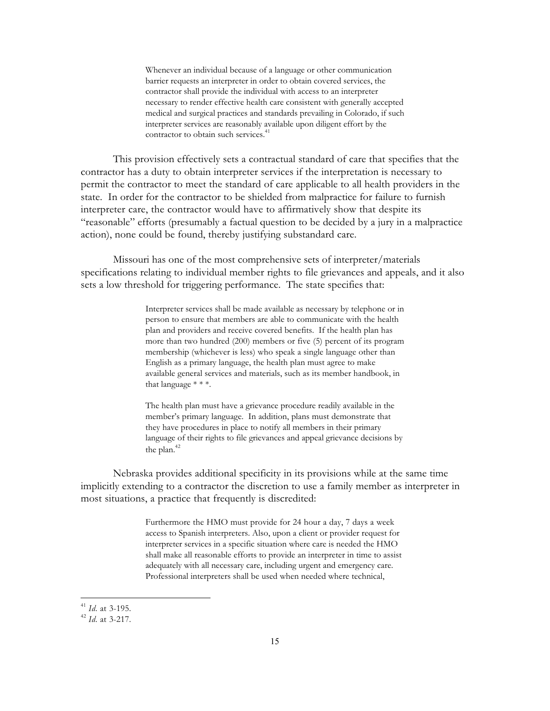Whenever an individual because of a language or other communication barrier requests an interpreter in order to obtain covered services, the contractor shall provide the individual with access to an interpreter necessary to render effective health care consistent with generally accepted medical and surgical practices and standards prevailing in Colorado, if such interpreter services are reasonably available upon diligent effort by the contractor to obtain such services.<sup>4</sup>

This provision effectively sets a contractual standard of care that specifies that the contractor has a duty to obtain interpreter services if the interpretation is necessary to permit the contractor to meet the standard of care applicable to all health providers in the state. In order for the contractor to be shielded from malpractice for failure to furnish interpreter care, the contractor would have to affirmatively show that despite its "reasonable" efforts (presumably a factual question to be decided by a jury in a malpractice action), none could be found, thereby justifying substandard care.

Missouri has one of the most comprehensive sets of interpreter/materials specifications relating to individual member rights to file grievances and appeals, and it also sets a low threshold for triggering performance. The state specifies that:

> Interpreter services shall be made available as necessary by telephone or in person to ensure that members are able to communicate with the health plan and providers and receive covered benefits. If the health plan has more than two hundred (200) members or five (5) percent of its program membership (whichever is less) who speak a single language other than English as a primary language, the health plan must agree to make available general services and materials, such as its member handbook, in that language \* \* \*.

The health plan must have a grievance procedure readily available in the member's primary language. In addition, plans must demonstrate that they have procedures in place to notify all members in their primary language of their rights to file grievances and appeal grievance decisions by the plan.<sup>42</sup>

Nebraska provides additional specificity in its provisions while at the same time implicitly extending to a contractor the discretion to use a family member as interpreter in most situations, a practice that frequently is discredited:

> Furthermore the HMO must provide for 24 hour a day, 7 days a week access to Spanish interpreters. Also, upon a client or provider request for interpreter services in a specific situation where care is needed the HMO shall make all reasonable efforts to provide an interpreter in time to assist adequately with all necessary care, including urgent and emergency care. Professional interpreters shall be used when needed where technical,

<sup>41</sup> *Id*. at 3-195. <sup>42</sup> *Id*. at 3-217.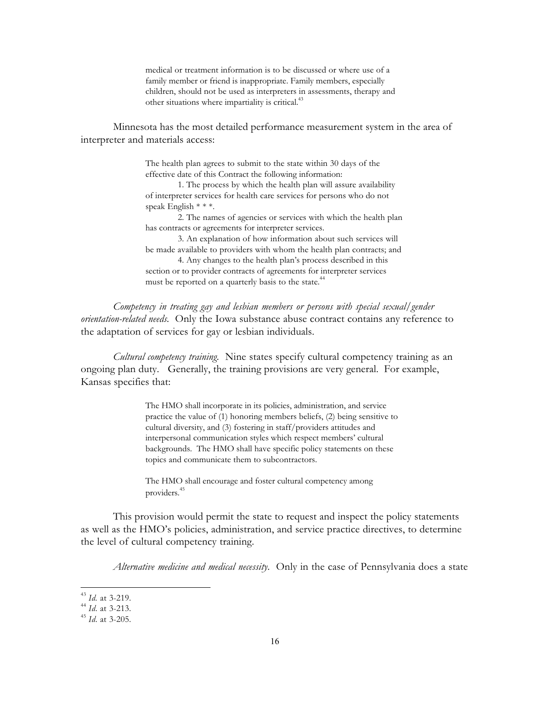medical or treatment information is to be discussed or where use of a family member or friend is inappropriate. Family members, especially children, should not be used as interpreters in assessments, therapy and other situations where impartiality is critical.<sup>43</sup>

Minnesota has the most detailed performance measurement system in the area of interpreter and materials access:

> The health plan agrees to submit to the state within 30 days of the effective date of this Contract the following information:

1. The process by which the health plan will assure availability of interpreter services for health care services for persons who do not speak English \* \* \*.

2. The names of agencies or services with which the health plan has contracts or agreements for interpreter services.

3. An explanation of how information about such services will be made available to providers with whom the health plan contracts; and

4. Any changes to the health plan's process described in this section or to provider contracts of agreements for interpreter services

must be reported on a quarterly basis to the state.<sup>44</sup>

*Competency in treating gay and lesbian members or persons with special sexual/gender orientation-related needs.* Only the Iowa substance abuse contract contains any reference to the adaptation of services for gay or lesbian individuals.

*Cultural competency training.* Nine states specify cultural competency training as an ongoing plan duty. Generally, the training provisions are very general. For example, Kansas specifies that:

> The HMO shall incorporate in its policies, administration, and service practice the value of (1) honoring members beliefs, (2) being sensitive to cultural diversity, and (3) fostering in staff/providers attitudes and interpersonal communication styles which respect members' cultural backgrounds. The HMO shall have specific policy statements on these topics and communicate them to subcontractors.

The HMO shall encourage and foster cultural competency among providers.45

This provision would permit the state to request and inspect the policy statements as well as the HMO's policies, administration, and service practice directives, to determine the level of cultural competency training.

*Alternative medicine and medical necessity*. Only in the case of Pennsylvania does a state

<sup>43</sup> *Id.* at 3-219. <sup>44</sup> *Id*. at 3-213. <sup>45</sup> *Id*. at 3-205.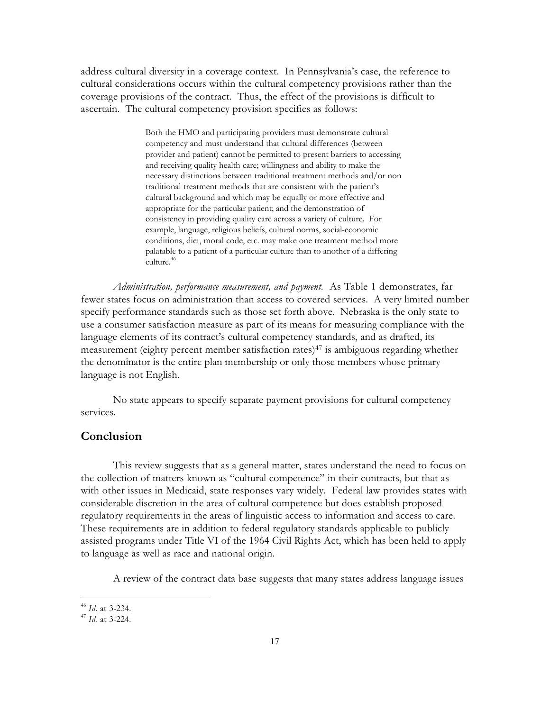address cultural diversity in a coverage context. In Pennsylvania's case, the reference to cultural considerations occurs within the cultural competency provisions rather than the coverage provisions of the contract. Thus, the effect of the provisions is difficult to ascertain. The cultural competency provision specifies as follows:

> Both the HMO and participating providers must demonstrate cultural competency and must understand that cultural differences (between provider and patient) cannot be permitted to present barriers to accessing and receiving quality health care; willingness and ability to make the necessary distinctions between traditional treatment methods and/or non traditional treatment methods that are consistent with the patient's cultural background and which may be equally or more effective and appropriate for the particular patient; and the demonstration of consistency in providing quality care across a variety of culture. For example, language, religious beliefs, cultural norms, social-economic conditions, diet, moral code, etc. may make one treatment method more palatable to a patient of a particular culture than to another of a differing culture.<sup>46</sup>

*Administration, performance measurement, and payment*. As Table 1 demonstrates, far fewer states focus on administration than access to covered services. A very limited number specify performance standards such as those set forth above. Nebraska is the only state to use a consumer satisfaction measure as part of its means for measuring compliance with the language elements of its contract's cultural competency standards, and as drafted, its measurement (eighty percent member satisfaction rates)<sup>47</sup> is ambiguous regarding whether the denominator is the entire plan membership or only those members whose primary language is not English.

No state appears to specify separate payment provisions for cultural competency services.

## **Conclusion**

This review suggests that as a general matter, states understand the need to focus on the collection of matters known as "cultural competence" in their contracts, but that as with other issues in Medicaid, state responses vary widely. Federal law provides states with considerable discretion in the area of cultural competence but does establish proposed regulatory requirements in the areas of linguistic access to information and access to care. These requirements are in addition to federal regulatory standards applicable to publicly assisted programs under Title VI of the 1964 Civil Rights Act, which has been held to apply to language as well as race and national origin.

A review of the contract data base suggests that many states address language issues

<sup>46</sup> *Id*. at 3-234. <sup>47</sup> *Id.* at 3-224.